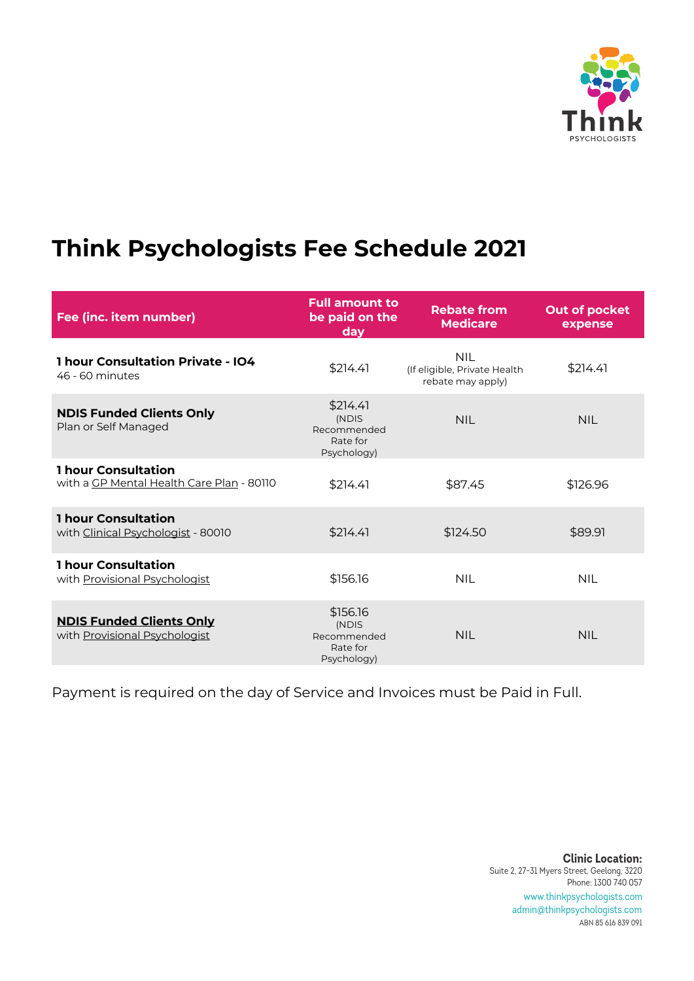

### **Think Psychologists Fee Schedule 2021**

| Fee (inc. item number)                                                  | <b>Full amount to</b><br>be paid on the<br>day              | <b>Rebate from</b><br><b>Medicare</b>                     | Out of pocket<br>expense |
|-------------------------------------------------------------------------|-------------------------------------------------------------|-----------------------------------------------------------|--------------------------|
| <b>1 hour Consultation Private - IO4</b><br>46 - 60 minutes             | \$214.41                                                    | NII.<br>(If eligible, Private Health<br>rebate may apply) | \$214.41                 |
| <b>NDIS Funded Clients Only</b><br>Plan or Self Managed                 | \$214.41<br>(NDIS<br>Recommended<br>Rate for<br>Psychology) | <b>NIL</b>                                                | <b>NIL</b>               |
| <b>1 hour Consultation</b><br>with a GP Mental Health Care Plan - 80110 | \$214.41                                                    | \$87.45                                                   | \$126.96                 |
| <b>1 hour Consultation</b><br>with Clinical Psychologist - 80010        | \$214.41                                                    | \$124.50                                                  | \$89.91                  |
| <b>1 hour Consultation</b><br>with Provisional Psychologist             | \$156.16                                                    | <b>NIL</b>                                                | <b>NIL</b>               |
| <b>NDIS Funded Clients Only</b><br>with Provisional Psychologist        | \$156.16<br>(NDIS<br>Recommended<br>Rate for<br>Psychology) | <b>NIL</b>                                                | <b>NIL</b>               |

Payment is required on the day of Service and Invoices must be Paid in Full.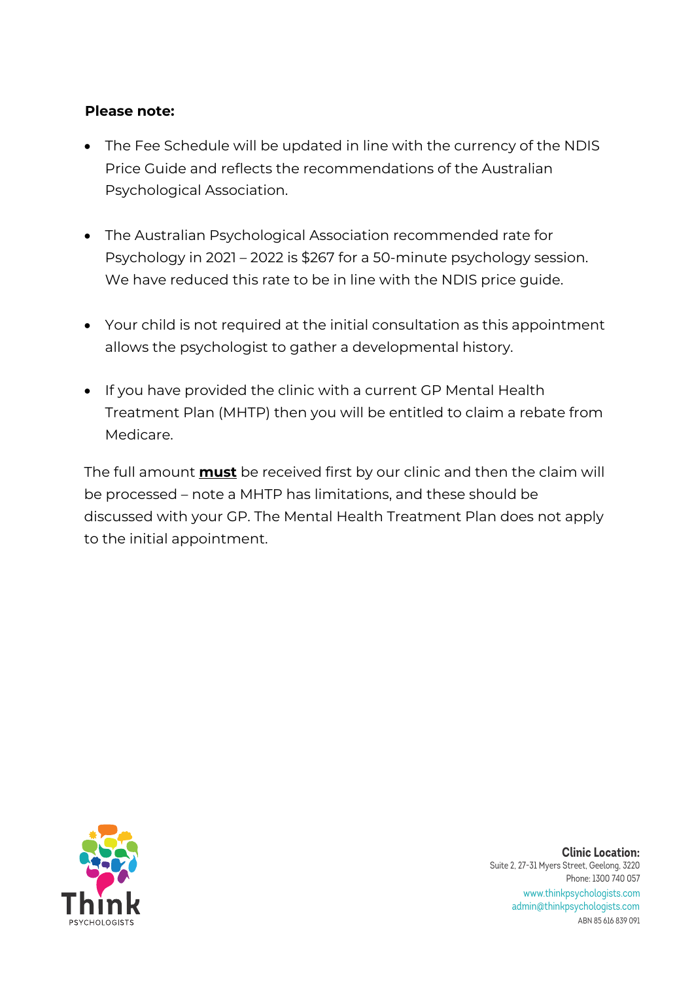### **Please note:**

- The Fee Schedule will be updated in line with the currency of the NDIS Price Guide and reflects the recommendations of the Australian Psychological Association.
- The Australian Psychological Association recommended rate for Psychology in 2021 – 2022 is \$267 for a 50-minute psychology session. We have reduced this rate to be in line with the NDIS price guide.
- Your child is not required at the initial consultation as this appointment allows the psychologist to gather a developmental history.
- If you have provided the clinic with a current GP Mental Health Treatment Plan (MHTP) then you will be entitled to claim a rebate from Medicare.

The full amount **must** be received first by our clinic and then the claim will be processed – note a MHTP has limitations, and these should be discussed with your GP. The Mental Health Treatment Plan does not apply to the initial appointment.

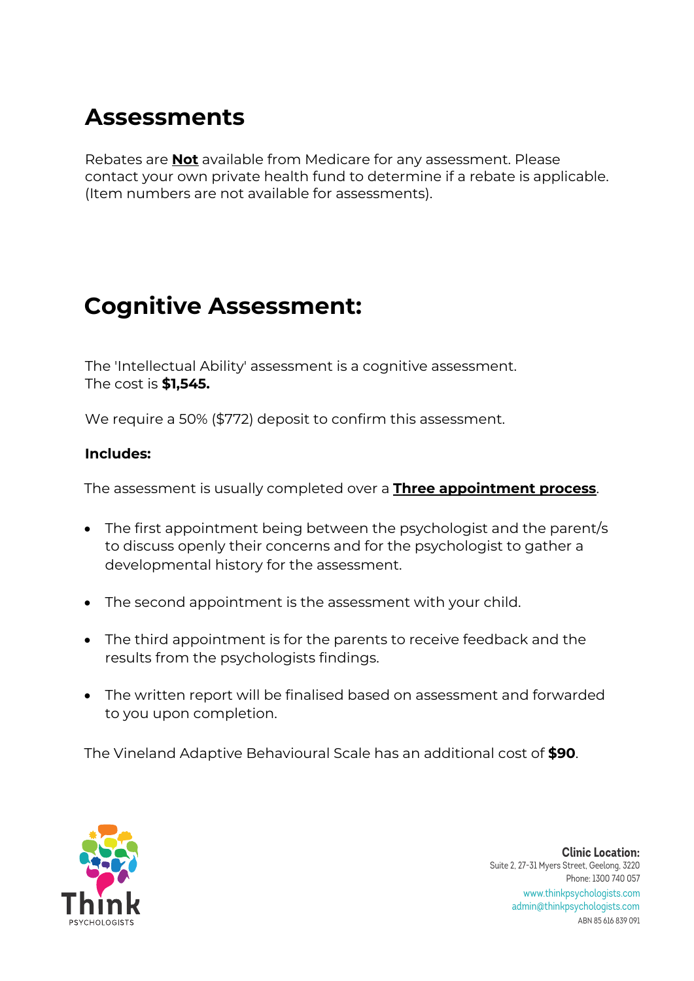### **Assessments**

Rebates are **Not** available from Medicare for any assessment. Please contact your own private health fund to determine if a rebate is applicable. (Item numbers are not available for assessments).

### **Cognitive Assessment:**

The 'Intellectual Ability' assessment is a cognitive assessment. The cost is **\$1,545.** 

We require a 50% (\$772) deposit to confirm this assessment.

### **Includes:**

The assessment is usually completed over a **Three appointment process**.

- The first appointment being between the psychologist and the parent/s to discuss openly their concerns and for the psychologist to gather a developmental history for the assessment.
- The second appointment is the assessment with your child.
- The third appointment is for the parents to receive feedback and the results from the psychologists findings.
- The written report will be finalised based on assessment and forwarded to you upon completion.

The Vineland Adaptive Behavioural Scale has an additional cost of **\$90**.

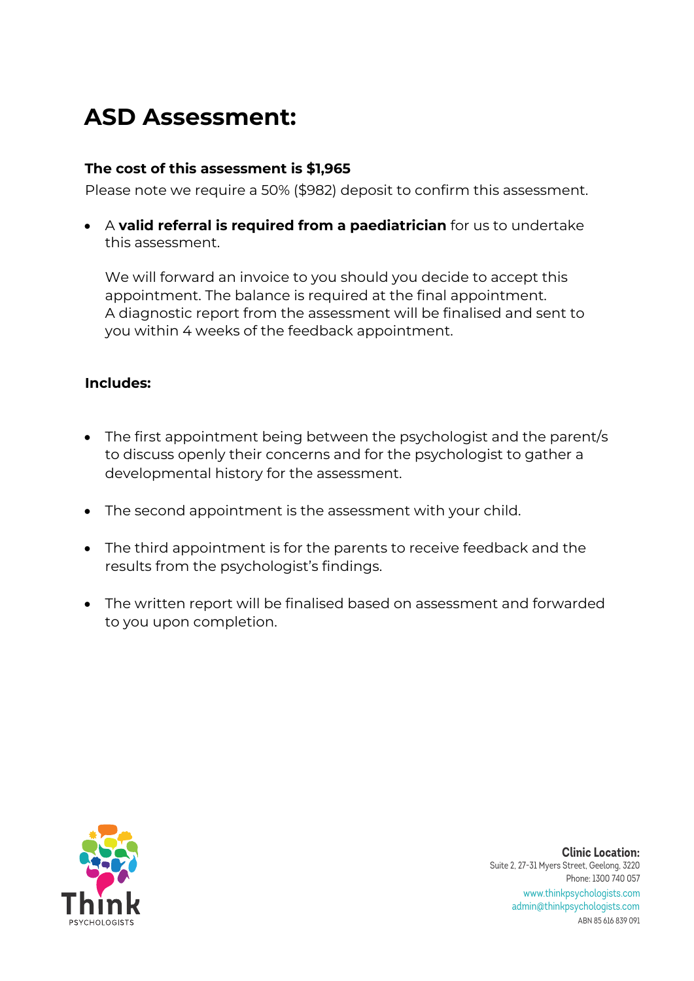# **ASD Assessment:**

### **The cost of this assessment is \$1,965**

Please note we require a 50% (\$982) deposit to confirm this assessment.

• A **valid referral is required from a paediatrician** for us to undertake this assessment.

We will forward an invoice to you should you decide to accept this appointment. The balance is required at the final appointment. A diagnostic report from the assessment will be finalised and sent to you within 4 weeks of the feedback appointment.

### **Includes:**

- The first appointment being between the psychologist and the parent/s to discuss openly their concerns and for the psychologist to gather a developmental history for the assessment.
- The second appointment is the assessment with your child.
- The third appointment is for the parents to receive feedback and the results from the psychologist's findings.
- The written report will be finalised based on assessment and forwarded to you upon completion.

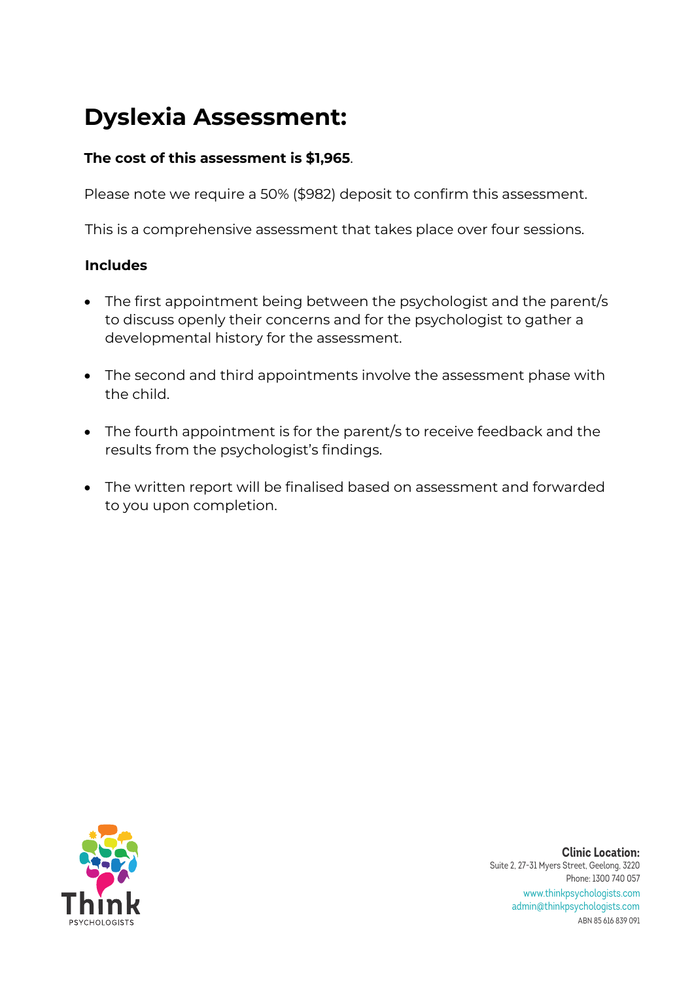# **Dyslexia Assessment:**

### **The cost of this assessment is \$1,965**.

Please note we require a 50% (\$982) deposit to confirm this assessment.

This is a comprehensive assessment that takes place over four sessions.

### **Includes**

- The first appointment being between the psychologist and the parent/s to discuss openly their concerns and for the psychologist to gather a developmental history for the assessment.
- The second and third appointments involve the assessment phase with the child.
- The fourth appointment is for the parent/s to receive feedback and the results from the psychologist's findings.
- The written report will be finalised based on assessment and forwarded to you upon completion.

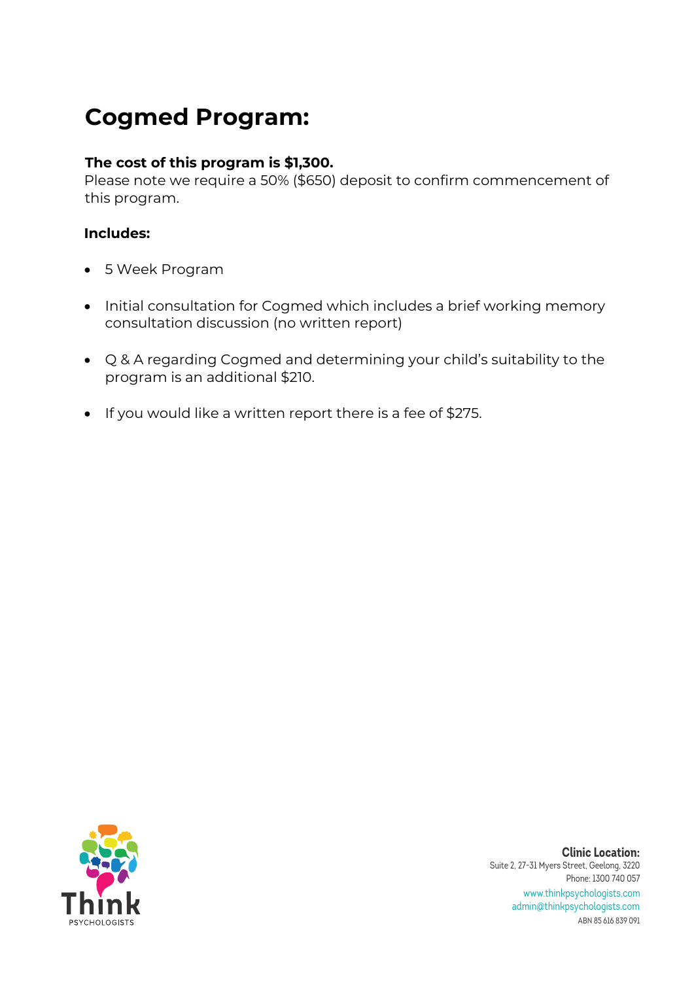## **Cogmed Program:**

### **The cost of this program is \$1,300.**

Please note we require a 50% (\$650) deposit to confirm commencement of this program.

### **Includes:**

- 5 Week Program
- Initial consultation for Cogmed which includes a brief working memory consultation discussion (no written report)
- Q & A regarding Cogmed and determining your child's suitability to the program is an additional \$210.
- If you would like a written report there is a fee of \$275.